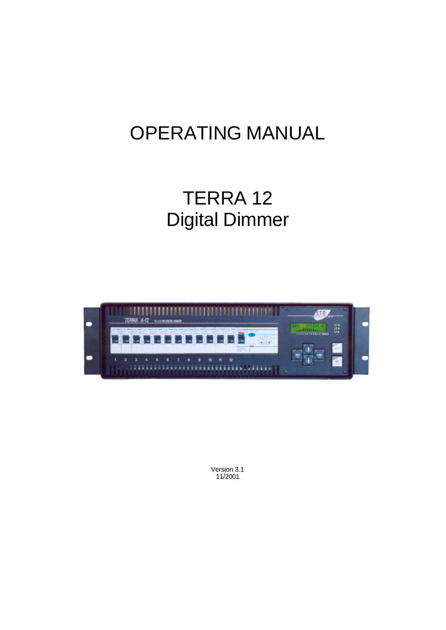# OPERATING MANUAL

## TERRA 12 Digital Dimmer



Version 3.1 11/2001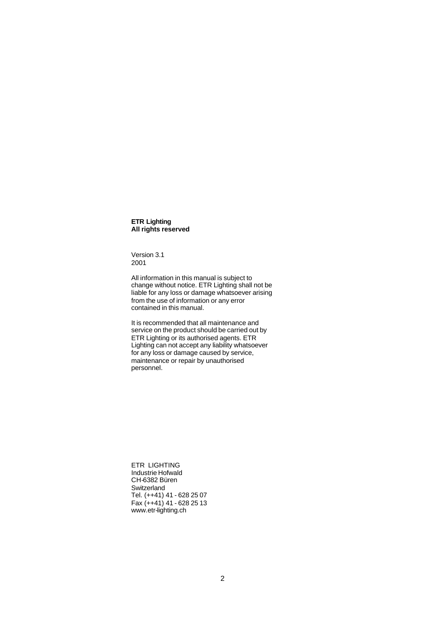**ETR Lighting All rights reserved**

Version 3.1 2001

All information in this manual is subject to change without notice. ETR Lighting shall not be liable for any loss or damage whatsoever arising from the use of information or any error contained in this manual.

It is recommended that all maintenance and service on the product should be carried out by ETR Lighting or its authorised agents. ETR Lighting can not accept any liability whatsoever for any loss or damage caused by service, maintenance or repair by unauthorised personnel.

ETR LIGHTING Industrie Hofwald CH-6382 Büren **Switzerland** Tel. (++41) 41 - 628 25 07 Fax  $(++41)$  41 - 628 25 13 www.etr-lighting.ch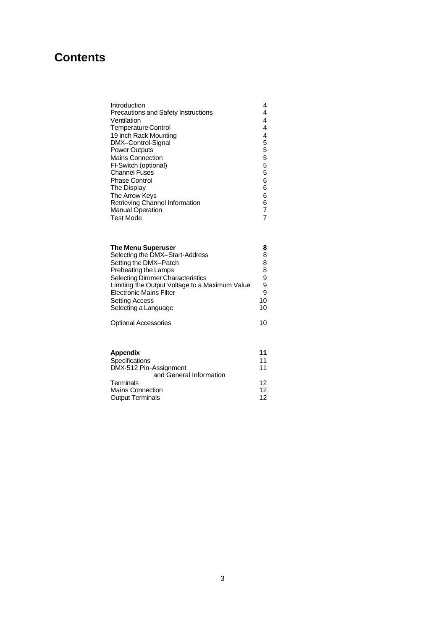## **Contents**

| Introduction                        | 4 |
|-------------------------------------|---|
| Precautions and Safety Instructions | 4 |
| Ventilation                         | 4 |
| Temperature Control                 | 4 |
| 19 inch Rack Mounting               | 4 |
| DMX-Control-Signal                  | 5 |
| Power Outputs                       | 5 |
| <b>Mains Connection</b>             | 5 |
| FI-Switch (optional)                | 5 |
| Channel Fuses                       | 5 |
| <b>Phase Control</b>                | 6 |
| The Display                         | 6 |
| The Arrow Keys                      | 6 |
| Retrieving Channel Information      | 6 |
| <b>Manual Operation</b>             | 7 |
| Test Mode                           | 7 |
|                                     |   |

| <b>The Menu Superuser</b>                      | 8  |
|------------------------------------------------|----|
| Selecting the DMX-Start-Address                | 8  |
| Setting the DMX-Patch                          | 8  |
| Preheating the Lamps                           | 8  |
| <b>Selecting Dimmer Characteristics</b>        | 9  |
| Limiting the Output Voltage to a Maximum Value | 9  |
| <b>Electronic Mains Filter</b>                 | 9  |
| <b>Setting Access</b>                          | 10 |
| Selecting a Language                           | 10 |
|                                                |    |
| <b>Optional Accessories</b>                    | 10 |

| Appendix                | 11 |
|-------------------------|----|
| <b>Specifications</b>   | 11 |
| DMX-512 Pin-Assignment  | 11 |
| and General Information |    |
| Terminals               | 12 |
| <b>Mains Connection</b> | 12 |
| <b>Output Terminals</b> | 12 |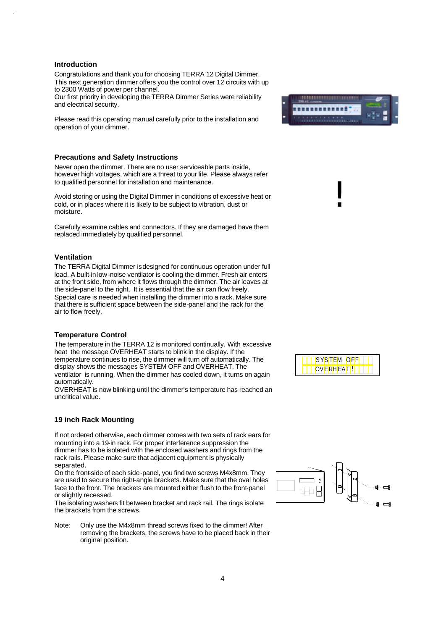#### **Introduction**

Congratulations and thank you for choosing TERRA 12 Digital Dimmer. This next generation dimmer offers you the control over 12 circuits with up to 2300 Watts of power per channel.

Our first priority in developing the TERRA Dimmer Series were reliability and electrical security.

Please read this operating manual carefully prior to the installation and operation of your dimmer.

#### **Precautions and Safety Instructions**

Never open the dimmer. There are no user serviceable parts inside, however high voltages, which are a threat to your life. Please always refer to qualified personnel for installation and maintenance.

Avoid storing or using the Digital Dimmer in conditions of excessive heat or cold, or in places where it is likely to be subject to vibration, dust or moisture.

Carefully examine cables and connectors. If they are damaged have them replaced immediately by qualified personnel.

#### **Ventilation**

The TERRA Digital Dimmer is designed for continuous operation under full load. A built-in low-noise ventilator is cooling the dimmer. Fresh air enters at the front side, from where it flows through the dimmer. The air leaves at the side-panel to the right. It is essential that the air can flow freely. Special care is needed when installing the dimmer into a rack. Make sure that there is sufficient space between the side-panel and the rack for the air to flow freely.

#### **Temperature Control**

The temperature in the TERRA 12 is monitored continually. With excessive heat the message OVERHEAT starts to blink in the display. If the temperature continues to rise, the dimmer will turn off automatically. The display shows the messages SYSTEM OFF and OVERHEAT. The ventilator is running. When the dimmer has cooled down, it turns on again automatically.

OVERHEAT is now blinking until the dimmer's temperature has reached an uncritical value.

#### **19 inch Rack Mounting**

If not ordered otherwise, each dimmer comes with two sets of rack ears for mounting into a 19-in rack. For proper interference suppression the dimmer has to be isolated with the enclosed washers and rings from the rack rails. Please make sure that adjacent equipment is physically separated.

On the front-side of each side-panel, you find two screws M4x8mm. They are used to secure the right-angle brackets. Make sure that the oval holes face to the front. The brackets are mounted either flush to the front-panel or slightly recessed.

The isolating washers fit between bracket and rack rail. The rings isolate the brackets from the screws.

Note: Only use the M4x8mm thread screws fixed to the dimmer! After removing the brackets, the screws have to be placed back in their original position.



!



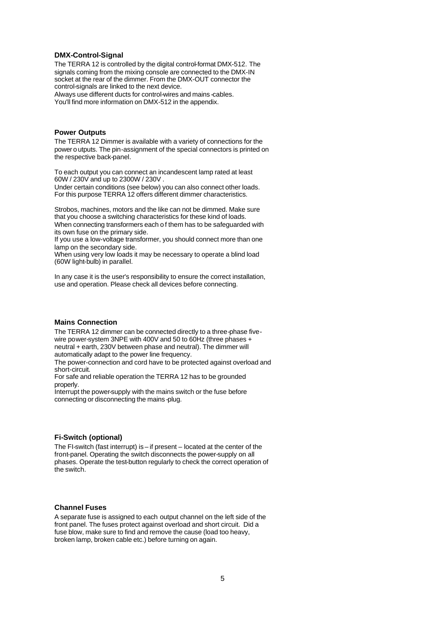## **DMX-Control-Signal**

The TERRA 12 is controlled by the digital control-format DMX-512. The signals coming from the mixing console are connected to the DMX-IN socket at the rear of the dimmer. From the DMX-OUT connector the control-signals are linked to the next device. Always use different ducts for control-wires and mains -cables. You'll find more information on DMX-512 in the appendix.

#### **Power Outputs**

The TERRA 12 Dimmer is available with a variety of connections for the power o utputs. The pin-assignment of the special connectors is printed on the respective back-panel.

To each output you can connect an incandescent lamp rated at least 60W / 230V and up to 2300W / 230V .

Under certain conditions (see below) you can also connect other loads. For this purpose TERRA 12 offers different dimmer characteristics.

Strobos, machines, motors and the like can not be dimmed. Make sure that you choose a switching characteristics for these kind of loads. When connecting transformers each of them has to be safeguarded with its own fuse on the primary side.

If you use a low-voltage transformer, you should connect more than one lamp on the secondary side.

When using very low loads it may be necessary to operate a blind load (60W light-bulb) in parallel.

In any case it is the user's responsibility to ensure the correct installation, use and operation. Please check all devices before connecting.

#### **Mains Connection**

The TERRA 12 dimmer can be connected directly to a three-phase fivewire power-system 3NPE with 400V and 50 to 60Hz (three phases + neutral + earth, 230V between phase and neutral). The dimmer will automatically adapt to the power line frequency.

The power-connection and cord have to be protected against overload and short-circuit.

For safe and reliable operation the TERRA 12 has to be grounded properly.

Interrupt the power-supply with the mains switch or the fuse before connecting or disconnecting the mains -plug.

## **Fi-Switch (optional)**

The FI-switch (fast interrupt) is – if present – located at the center of the front-panel. Operating the switch disconnects the power-supply on all phases. Operate the test-button regularly to check the correct operation of the switch.

#### **Channel Fuses**

A separate fuse is assigned to each output channel on the left side of the front panel. The fuses protect against overload and short circuit. Did a fuse blow, make sure to find and remove the cause (load too heavy, broken lamp, broken cable etc.) before turning on again.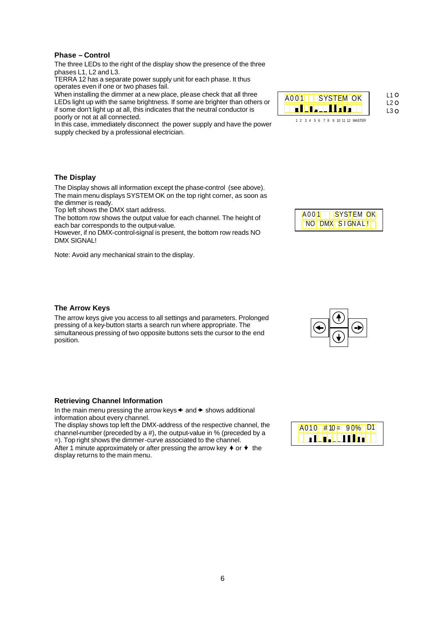## **Phase – Control**

The three LEDs to the right of the display show the presence of the three phases L1, L2 and L3.

TERRA 12 has a separate power supply unit for each phase. It thus operates even if one or two phases fail.

When installing the dimmer at a new place, please check that all three LEDs light up with the same brightness. If some are brighter than others or if some don't light up at all, this indicates that the neutral conductor is poorly or not at all connected.

In this case, immediately disconnect the power supply and have the power supply checked by a professional electrician.



## **The Display**

The Display shows all information except the phase-control (see above). The main menu displays SYSTEM OK on the top right corner, as soon as the dimmer is ready.

Top left shows the DMX start address.

The bottom row shows the output value for each channel. The height of each bar corresponds to the output-value.

However, if no DMX-control-signal is present, the bottom row reads NO DMX SIGNAL!

Note: Avoid any mechanical strain to the display.



## **The Arrow Keys**

The arrow keys give you access to all settings and parameters. Prolonged pressing of a key-button starts a search run where appropriate. The simultaneous pressing of two opposite buttons sets the cursor to the end position.



In the main menu pressing the arrow keys  $\triangleq$  and  $\triangleright$  shows additional information about every channel.

The display shows top left the DMX-address of the respective channel, the channel-number (preceded by a #), the output-value in % (preceded by a =). Top right shows the dimmer-curve associated to the channel.

After 1 minute approximately or after pressing the arrow key  $\triangleq$  or  $\triangleq$  the display returns to the main menu.

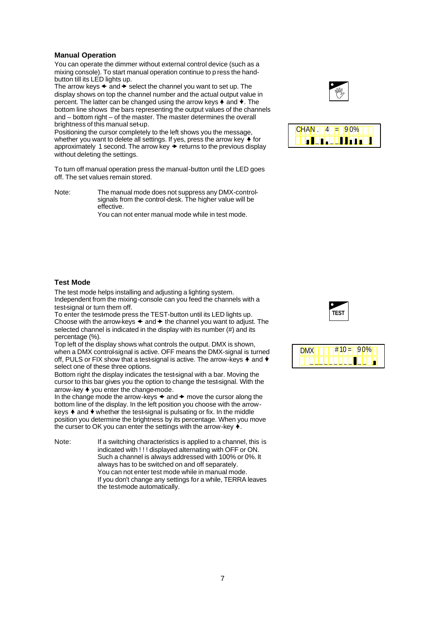## **Manual Operation**

You can operate the dimmer without external control device (such as a mixing console). To start manual operation continue to p ress the handbutton till its LED lights up.

The arrow keys  $\triangleleft$  and  $\rightarrow$  select the channel you want to set up. The display shows on top the channel number and the actual output value in percent. The latter can be changed using the arrow keys  $\blacklozenge$  and  $\blacktriangledown$ . The bottom line shows the bars representing the output values of the channels and – bottom right – of the master. The master determines the overall brightness of this manual set-up.

Positioning the cursor completely to the left shows you the message, whether you want to delete all settings. If yes, press the arrow key  $\blacklozenge$  for approximately 1 second. The arrow key  $\rightarrow$  returns to the previous display without deleting the settings.

To turn off manual operation press the manual-button until the LED goes off. The set values remain stored.

Note: The manual mode does not suppress any DMX-controlsignals from the control-desk. The higher value will be effective.

You can not enter manual mode while in test mode.





#### **Test Mode**

The test mode helps installing and adjusting a lighting system. Independent from the mixing-console can you feed the channels with a test-signal or turn them off.

To enter the testmode press the TEST-button until its LED lights up. Choose with the arrow-keys  $\triangleleft$  and  $\triangleright$  the channel you want to adjust. The selected channel is indicated in the display with its number (#) and its percentage (%).

Top left of the display shows what controls the output. DMX is shown, when a DMX control-signal is active. OFF means the DMX-signal is turned off, PULS or FIX show that a test-signal is active. The arrow-keys  $\blacklozenge$  and  $\blacktriangleright$ select one of these three options.

Bottom right the display indicates the test-signal with a bar. Moving the cursor to this bar gives you the option to change the test-signal. With the arrow-key  $\triangleq$  you enter the change-mode.

In the change mode the arrow-keys  $\triangleleft$  and  $\rightarrow$  move the cursor along the bottom line of the display. In the left position you choose with the arrowkeys  $\triangle$  and  $\blacktriangleright$  whether the test-signal is pulsating or fix. In the middle position you determine the brightness by its percentage. When you move the curser to OK you can enter the settings with the arrow-key  $\blacklozenge$ .

Note: If a switching characteristics is applied to a channel, this is indicated with ! ! ! displayed alternating with OFF or ON. Such a channel is always addressed with 100% or 0%. It always has to be switched on and off separately. You can not enter test mode while in manual mode. If you don't change any settings for a while, TERRA leaves the test-mode automatically.



|  | - 11 |  | -- |  |  |  |
|--|------|--|----|--|--|--|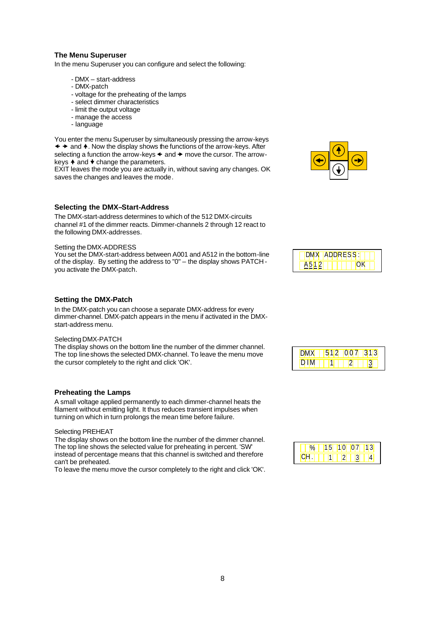## **The Menu Superuser**

In the menu Superuser you can configure and select the following:

- DMX start-address
- DMX-patch
- voltage for the preheating of the lamps
- select dimmer characteristics
- limit the output voltage
- manage the access
- language

You enter the menu Superuser by simultaneously pressing the arrow-keys  $\leftrightarrow$  and  $\leftrightarrow$ . Now the display shows the functions of the arrow-keys. After selecting a function the arrow-keys  $\triangleleft$  and  $\rightarrow$  move the cursor. The arrowkeys  $\triangle$  and  $\blacktriangleright$  change the parameters.

EXIT leaves the mode you are actually in, without saving any changes. OK saves the changes and leaves the mode.

#### **Selecting the DMX–Start-Address**

The DMX-start-address determines to which of the 512 DMX-circuits channel #1 of the dimmer reacts. Dimmer-channels 2 through 12 react to the following DMX-addresses.

#### Setting the DMX-ADDRESS

You set the DMX-start-address between A001 and A512 in the bottom-line of the display. By setting the address to "0" – the display shows PATCH you activate the DMX-patch.

## **Setting the DMX-Patch**

In the DMX-patch you can choose a separate DMX-address for every dimmer-channel. DMX-patch appears in the menu if activated in the DMXstart-address menu.

#### Selecting DMX-PATCH

The display shows on the bottom line the number of the dimmer channel. The top line shows the selected DMX-channel. To leave the menu move the cursor completely to the right and click 'OK'.

#### **Preheating the Lamps**

A small voltage applied permanently to each dimmer-channel heats the filament without emitting light. It thus reduces transient impulses when turning on which in turn prolongs the mean time before failure.

Selecting PREHEAT

The display shows on the bottom line the number of the dimmer channel. The top line shows the selected value for preheating in percent. 'SW' instead of percentage means that this channel is switched and therefore can't be preheated.

To leave the menu move the cursor completely to the right and click 'OK'.



|  | X ADDRESS: |  |  |
|--|------------|--|--|
|  |            |  |  |

|  | ΩU<br>$\sqrt{2}$ | ď |
|--|------------------|---|
|  |                  |   |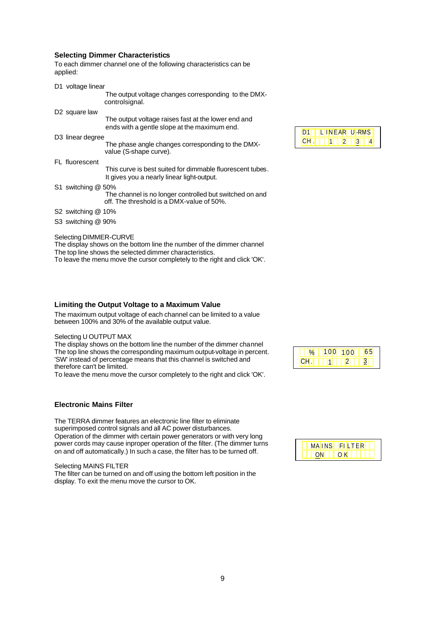## **Selecting Dimmer Characteristics**

To each dimmer channel one of the following characteristics can be applied:

| D1 voltage linear            |                                                                                                         |
|------------------------------|---------------------------------------------------------------------------------------------------------|
|                              | The output voltage changes corresponding to the DMX-<br>controlsignal.                                  |
| D <sub>2</sub> square law    |                                                                                                         |
|                              | The output voltage raises fast at the lower end and<br>ends with a gentle slope at the maximum end.     |
| D <sub>3</sub> linear degree |                                                                                                         |
|                              | The phase angle changes corresponding to the DMX-<br>value (S-shape curve).                             |
| FL fluorescent               |                                                                                                         |
|                              | This curve is best suited for dimmable fluorescent tubes.<br>It gives you a nearly linear light-output. |
| S1 switching @ 50%           |                                                                                                         |
|                              | The channel is no longer controlled but switched on and<br>off. The threshold is a DMX-value of 50%.    |
| S2 switching @ 10%           |                                                                                                         |
|                              |                                                                                                         |

S3 switching @ 90%

Selecting DIMMER-CURVE

The display shows on the bottom line the number of the dimmer channel The top line shows the selected dimmer characteristics.

To leave the menu move the cursor completely to the right and click 'OK'.

## **Limiting the Output Voltage to a Maximum Value**

The maximum output voltage of each channel can be limited to a value between 100% and 30% of the available output value.

## Selecting U OUTPUT MAX

The display shows on the bottom line the number of the dimmer channel The top line shows the corresponding maximum output-voltage in percent. 'SW' instead of percentage means that this channel is switched and therefore can't be limited.

To leave the menu move the cursor completely to the right and click 'OK'.

## **Electronic Mains Filter**

The TERRA dimmer features an electronic line filter to eliminate superimposed control signals and all AC power disturbances. Operation of the dimmer with certain power generators or with very long power cords may cause inproper operation of the filter. (The dimmer turns on and off automatically.) In such a case, the filter has to be turned off.

Selecting MAINS FILTER The filter can be turned on and off using the bottom left position in the display. To exit the menu move the cursor to OK.

|  | 1 H | NEAR U-P |  |
|--|-----|----------|--|
|  |     |          |  |

|  | $\sim$ $\sim$ |  |
|--|---------------|--|
|  |               |  |

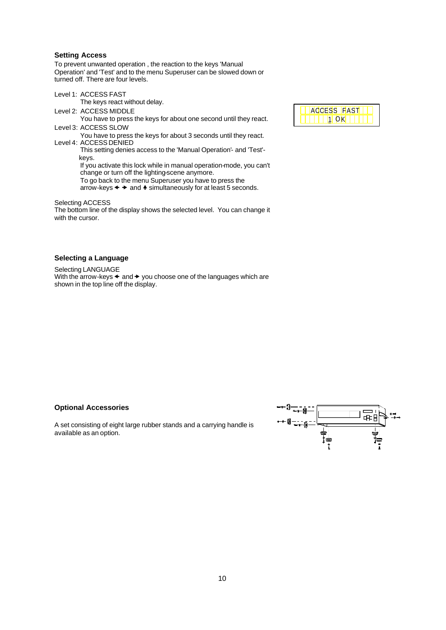## **Setting Access**

To prevent unwanted operation , the reaction to the keys 'Manual Operation' and 'Test' and to the menu Superuser can be slowed down or turned off. There are four levels.

Level 1: ACCESS FAST The keys react without delay. Level 2: ACCESS MIDDLE You have to press the keys for about one second until they react. Level 3: ACCESS SLOW You have to press the keys for about 3 seconds until they react.

Level 4: ACCESS DENIED This setting denies access to the 'Manual Operation'- and 'Test'-

> keys. If you activate this lock while in manual operation-mode, you can't change or turn off the lighting-scene anymore.

- To go back to the menu Superuser you have to press the
- arrow-keys  $\leftrightarrow$  and  $\leftrightarrow$  simultaneously for at least 5 seconds.

Selecting ACCESS

The bottom line of the display shows the selected level. You can change it with the cursor.

## **Selecting a Language**

Selecting LANGUAGE With the arrow-keys  $\triangleleft$  and  $\triangleright$  you choose one of the languages which are shown in the top line off the display.

#### **Optional Accessories**

A set consisting of eight large rubber stands and a carrying handle is available as an option.

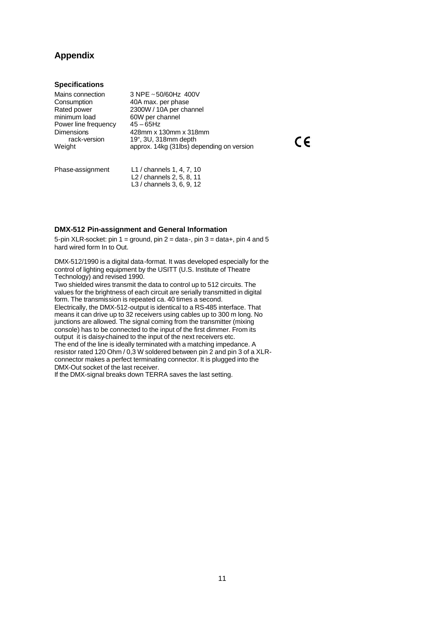## **Appendix**

## **Specifications**

| Mains connection     | 3 NPE ~50/60Hz 400V                       |
|----------------------|-------------------------------------------|
| Consumption          | 40A max. per phase                        |
| Rated power          | 2300W / 10A per channel                   |
| minimum load         | 60W per channel                           |
| Power line frequency | $45 - 65$ Hz                              |
| <b>Dimensions</b>    | 428mm x 130mm x 318mm                     |
| rack-version         | 19", 3U, 318mm depth                      |
| Weight               | approx. 14kg (31lbs) depending on version |
|                      |                                           |
|                      |                                           |

 $C \in$ 

| Phase-assignment | L1 / channels 1, 4, 7, 10 |
|------------------|---------------------------|
|                  | L2 / channels 2, 5, 8, 11 |
|                  | L3 / channels 3, 6, 9, 12 |

## **DMX-512 Pin-assignment and General Information**

5-pin XLR-socket: pin 1 = ground, pin 2 = data-, pin 3 = data+, pin 4 and 5 hard wired form In to Out.

DMX-512/1990 is a digital data-format. It was developed especially for the control of lighting equipment by the USITT (U.S. Institute of Theatre Technology) and revised 1990.

Two shielded wires transmit the data to control up to 512 circuits. The values for the brightness of each circuit are serially transmitted in digital form. The transmission is repeated ca. 40 times a second. Electrically, the DMX-512-output is identical to a RS-485 interface. That

means it can drive up to 32 receivers using cables up to 300 m long. No junctions are allowed. The signal coming from the transmitter (mixing console) has to be connected to the input of the first dimmer. From its output it is daisy-chained to the input of the next receivers etc. The end of the line is ideally terminated with a matching impedance. A resistor rated 120 Ohm / 0,3 W soldered between pin 2 and pin 3 of a XLRconnector makes a perfect terminating connector. It is plugged into the DMX-Out socket of the last receiver.

If the DMX-signal breaks down TERRA saves the last setting.